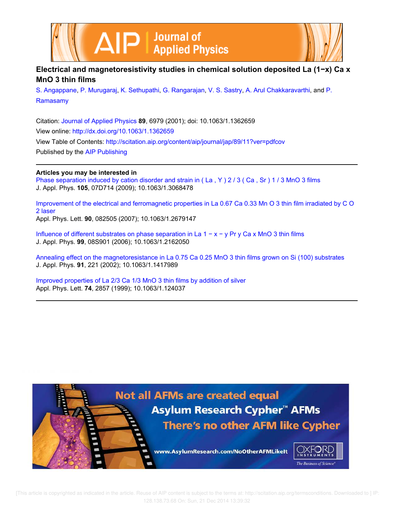



## **Electrical and magnetoresistivity studies in chemical solution deposited La (1−x) Ca x MnO 3 thin films**

S. Angappane, P. Murugaraj, K. Sethupathi, G. Rangarajan, V. S. Sastry, A. Arul Chakkaravarthi, and P. Ramasamy

Citation: Journal of Applied Physics **89**, 6979 (2001); doi: 10.1063/1.1362659 View online: http://dx.doi.org/10.1063/1.1362659 View Table of Contents: http://scitation.aip.org/content/aip/journal/jap/89/11?ver=pdfcov Published by the AIP Publishing

## **Articles you may be interested in**

Phase separation induced by cation disorder and strain in (La, Y) 2/3 (Ca, Sr) 1/3 MnO 3 films J. Appl. Phys. **105**, 07D714 (2009); 10.1063/1.3068478

Improvement of the electrical and ferromagnetic properties in La 0.67 Ca 0.33 Mn O 3 thin film irradiated by C O 2 laser Appl. Phys. Lett. **90**, 082505 (2007); 10.1063/1.2679147

Influence of different substrates on phase separation in La 1 − x − y Pr y Ca x MnO 3 thin films J. Appl. Phys. **99**, 08S901 (2006); 10.1063/1.2162050

Annealing effect on the magnetoresistance in La 0.75 Ca 0.25 MnO 3 thin films grown on Si (100) substrates J. Appl. Phys. **91**, 221 (2002); 10.1063/1.1417989

Improved properties of La 2/3 Ca 1/3 MnO 3 thin films by addition of silver Appl. Phys. Lett. **74**, 2857 (1999); 10.1063/1.124037



 [This article is copyrighted as indicated in the article. Reuse of AIP content is subject to the terms at: http://scitation.aip.org/termsconditions. Downloaded to ] IP: 128.138.73.68 On: Sun, 21 Dec 2014 13:39:32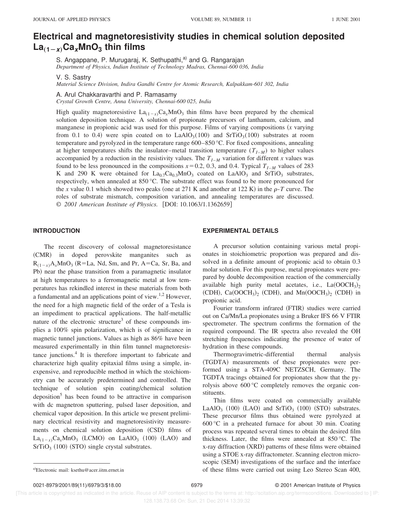# **Electrical and magnetoresistivity studies in chemical solution deposited La**"**1Àx**…**CaxMnO<sup>3</sup> thin films**

S. Angappane, P. Murugaraj, K. Sethupathi,<sup>a)</sup> and G. Rangarajan *Department of Physics, Indian Institute of Technology Madras, Chennai-600 036, India*

V. S. Sastry

*Material Science Division, Indira Gandhi Centre for Atomic Research, Kalpakkam-601 302, India*

#### A. Arul Chakkaravarthi and P. Ramasamy

*Crystal Growth Centre, Anna University, Chennai-600 025, India*

High quality magnetoresistive  $La_{(1-x)}Ca_xMnO_3$  thin films have been prepared by the chemical solution deposition technique. A solution of propionate precursors of lanthanum, calcium, and manganese in propionic acid was used for this purpose. Films of varying compositions  $(x \text{ varying})$ from 0.1 to 0.4) were spin coated on to  $LaAlO<sub>3</sub>(100)$  and  $SrTiO<sub>3</sub>(100)$  substrates at room temperature and pyrolyzed in the temperature range 600–850 °C. For fixed compositions, annealing at higher temperatures shifts the insulator–metal transition temperature  $(T<sub>I-M</sub>)$  to higher values accompanied by a reduction in the resistivity values. The  $T_{I-M}$  variation for different *x* values was found to be less pronounced in the compositions  $x=0.2$ , 0.3, and 0.4. Typical  $T<sub>I-M</sub>$  values of 283 K and 290 K were obtained for  $La_{0.7}Ca_{0.3}MnO_3$  coated on  $LaAlO_3$  and  $SrTiO_3$  substrates, respectively, when annealed at 850 °C. The substrate effect was found to be more pronounced for the *x* value 0.1 which showed two peaks (one at 271 K and another at 122 K) in the  $\rho$ -*T* curve. The roles of substrate mismatch, composition variation, and annealing temperatures are discussed. © 2001 American Institute of Physics. [DOI: 10.1063/1.1362659]

#### **INTRODUCTION**

The recent discovery of colossal magnetoresistance ~CMR! in doped perovskite manganites such as  $R_{(1-x)}A_xMnO_3$  (R=La, Nd, Sm, and Pr, A=Ca, Sr, Ba, and Pb) near the phase transition from a paramagnetic insulator at high temperatures to a ferromagnetic metal at low temperatures has rekindled interest in these materials from both a fundamental and an applications point of view.<sup>1,2</sup> However, the need for a high magnetic field of the order of a Tesla is an impediment to practical applications. The half-metallic nature of the electronic structure<sup>3</sup> of these compounds implies a 100% spin polarization, which is of significance in magnetic tunnel junctions. Values as high as 86% have been measured experimentally in thin film tunnel magnetoresistance junctions.<sup>4</sup> It is therefore important to fabricate and characterize high quality epitaxial films using a simple, inexpensive, and reproducible method in which the stoichiometry can be accurately predetermined and controlled. The technique of solution spin coating/chemical solution deposition<sup>5</sup> has been found to be attractive in comparison with dc magnetron sputtering, pulsed laser deposition, and chemical vapor deposition. In this article we present preliminary electrical resistivity and magnetoresistivity measurements on chemical solution deposition (CSD) films of  $La_{(1-x)}Ca_xMnO_3$  (LCMO) on LaAlO<sub>3</sub> (100) (LAO) and  $SrTiO<sub>3</sub>$  (100) (STO) single crystal substrates.

#### **EXPERIMENTAL DETAILS**

A precursor solution containing various metal propionates in stoichiometric proportion was prepared and dissolved in a definite amount of propionic acid to obtain 0.3 molar solution. For this purpose, metal propionates were prepared by double decomposition reaction of the commercially available high purity metal acetates, i.e.,  $La(OOCH<sub>3</sub>)<sub>2</sub>$ (CDH),  $Ca(OOCH<sub>3</sub>)<sub>2</sub>$  (CDH), and  $Mn(OOCH<sub>3</sub>)<sub>2</sub>$  (CDH) in propionic acid.

Fourier transform infrared (FTIR) studies were carried out on Ca/Mn/La propionates using a Bruker IFS 66 V FTIR spectrometer. The spectrum confirms the formation of the required compound. The IR spectra also revealed the OH stretching frequencies indicating the presence of water of hydration in these compounds.

Thermogravimetric-differential thermal analysis ~TGDTA! measurements of these propionates were performed using a STA-409C NETZSCH, Germany. The TGDTA tracings obtained for propionates show that the pyrolysis above 600 °C completely removes the organic constituents.

Thin films were coated on commercially available LaAlO<sub>3</sub> (100) (LAO) and SrTiO<sub>3</sub> (100) (STO) substrates. These precursor films thus obtained were pyrolyzed at 600 °C in a preheated furnace for about 30 min. Coating process was repeated several times to obtain the desired film thickness. Later, the films were annealed at 850 °C. The x-ray diffraction (XRD) patterns of these films were obtained using a STOE x-ray diffractometer. Scanning electron microscopic (SEM) investigations of the surface and the interface a)Electronic mail: ksethu@acer.iitm.ernet.in 61 contract of these films were carried out using Leo Stereo Scan 400,

0021-8979/2001/89(11)/6979/3/\$18.00 6979 © 2001 American Institute of Physics

 [This article is copyrighted as indicated in the article. Reuse of AIP content is subject to the terms at: http://scitation.aip.org/termsconditions. Downloaded to ] IP: 128.138.73.68 On: Sun, 21 Dec 2014 13:39:32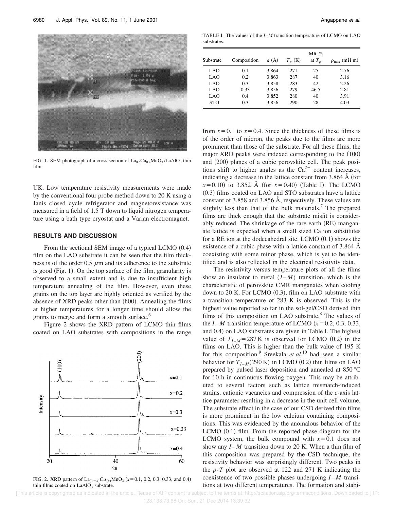

FIG. 1. SEM photograph of a cross section of  $La_{0.6}Ca_{0.4}MnO_3/LaAlO_3$  thin film.

UK. Low temperature resistivity measurements were made by the conventional four probe method down to 20 K using a Janis closed cycle refrigerator and magnetoresistance was measured in a field of 1.5 T down to liquid nitrogen temperature using a bath type cryostat and a Varian electromagnet.

#### **RESULTS AND DISCUSSION**

From the sectional SEM image of a typical LCMO  $(0.4)$ film on the LAO substrate it can be seen that the film thickness is of the order  $0.5 \mu m$  and its adherence to the substrate is good  $(Fig. 1)$ . On the top surface of the film, granularity is observed to a small extent and is due to insufficient high temperature annealing of the film. However, even these grains on the top layer are highly oriented as verified by the absence of  $XRD$  peaks other than  $(h00)$ . Annealing the films at higher temperatures for a longer time should allow the grains to merge and form a smooth surface.<sup>6</sup>

Figure 2 shows the XRD pattern of LCMO thin films coated on LAO substrates with compositions in the range



FIG. 2. XRD pattern of  $La_{(1-x)}Ca_{(x)}MnO_3$  ( $x=0.1, 0.2, 0.3, 0.33,$  and 0.4) thin films coated on  $LaAlO<sub>3</sub>$  substrate.

TABLE I. The values of the *I*–*M* transition temperature of LCMO on LAO substrates.

| Substrate  | Composition | a(A)  | $T_n$ (K) | $MR\%$<br>at $T_n$ | $\rho_{\text{max}}$ (m $\Omega$ m) |
|------------|-------------|-------|-----------|--------------------|------------------------------------|
| LAO        | 0.1         | 3.864 | 271       | 25                 | 2.76                               |
| LAO        | 0.2         | 3.863 | 287       | 40                 | 3.16                               |
| LAO        | 0.3         | 3.858 | 283       | 42                 | 2.26                               |
| LAO        | 0.33        | 3.856 | 279       | 46.5               | 2.81                               |
| LAO        | 0.4         | 3.852 | 280       | 40                 | 3.91                               |
| <b>STO</b> | 0.3         | 3.856 | 290       | 28                 | 4.03                               |

from  $x=0.1$  to  $x=0.4$ . Since the thickness of these films is of the order of micron, the peaks due to the films are more prominent than those of the substrate. For all these films, the major  $XRD$  peaks were indexed corresponding to the  $(100)$ and  $(200)$  planes of a cubic perovskite cell. The peak positions shift to higher angles as the  $Ca^{2+}$  content increases, indicating a decrease in the lattice constant from 3.864  $\AA$  (for  $x=0.10$  to 3.852 Å (for  $x=0.40$ ) (Table I). The LCMO  $(0.3)$  films coated on LAO and STO substrates have a lattice constant of 3.858 and 3.856 Å, respectively. These values are slightly less than that of the bulk materials.<sup>7</sup> The prepared films are thick enough that the substrate misfit is considerably reduced. The shrinkage of the rare earth (RE) manganate lattice is expected when a small sized Ca ion substitutes for a RE ion at the dodecahedral site. LCMO  $(0.1)$  shows the existence of a cubic phase with a lattice constant of 3.864 Å coexisting with some minor phase, which is yet to be identified and is also reflected in the electrical resistivity data.

The resistivity versus temperature plots of all the films show an insulator to metal  $(I-M)$  transition, which is the characteristic of perovskite CMR manganates when cooling down to  $20$  K. For LCMO  $(0.3)$ , film on LAO substrate with a transition temperature of 283 K is observed. This is the highest value reported so far in the sol-gel/CSD derived thin films of this composition on LAO substrate. $8$  The values of the  $I-M$  transition temperature of LCMO  $(x=0.2, 0.3, 0.33, ...)$ and 0.4) on LAO substrates are given in Table I. The highest value of  $T_{I-M}$ =287 K is observed for LCMO (0.2) in the films on LAO. This is higher than the bulk value of 195 K for this composition.<sup>9</sup> Sreekala *et al*.<sup>10</sup> had seen a similar behavior for  $T_{I-M}(290 \text{ K})$  in LCMO (0.2) thin films on LAO prepared by pulsed laser deposition and annealed at 850 °C for 10 h in continuous flowing oxygen. This may be attributed to several factors such as lattice mismatch-induced strains, cationic vacancies and compression of the *c*-axis lattice parameter resulting in a decrease in the unit cell volume. The substrate effect in the case of our CSD derived thin films is more prominent in the low calcium containing compositions. This was evidenced by the anomalous behavior of the LCMO  $(0.1)$  film. From the reported phase diagram for the LCMO system, the bulk compound with  $x=0.1$  does not show any  $I - M$  transition down to 20 K. When a thin film of this composition was prepared by the CSD technique, the resistivity behavior was surprisingly different. Two peaks in the  $\rho$ -*T* plot are observed at 122 and 271 K indicating the coexistence of two possible phases undergoing *I* – *M* transitions at two different temperatures. The formation and stabi-

 [This article is copyrighted as indicated in the article. Reuse of AIP content is subject to the terms at: http://scitation.aip.org/termsconditions. Downloaded to ] IP: 128.138.73.68 On: Sun, 21 Dec 2014 13:39:32